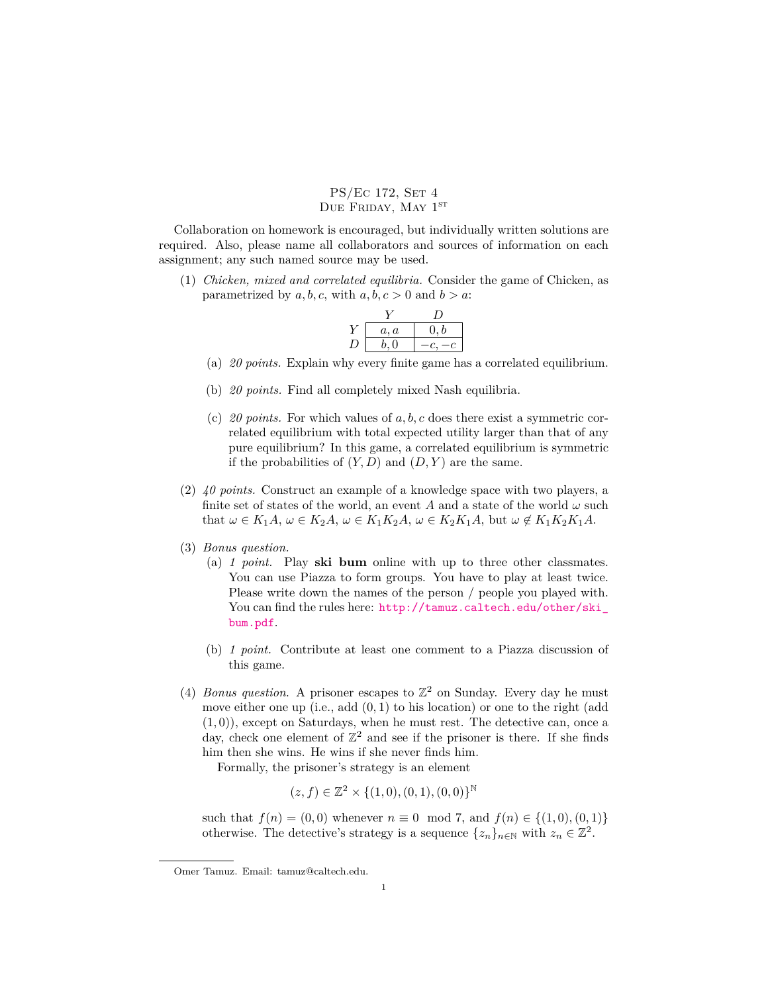## PS/Ec 172, SET 4 DUE FRIDAY, MAY  $1^{ST}$

Collaboration on homework is encouraged, but individually written solutions are required. Also, please name all collaborators and sources of information on each assignment; any such named source may be used.

(1) *Chicken, mixed and correlated equilibria.* Consider the game of Chicken, as parametrized by  $a, b, c$ , with  $a, b, c > 0$  and  $b > a$ .

| a, a    | (0, b) |
|---------|--------|
| 0<br>ь. |        |

- (a) *20 points.* Explain why every finite game has a correlated equilibrium.
- (b) *20 points.* Find all completely mixed Nash equilibria.
- (c) *20 points.* For which values of *a, b, c* does there exist a symmetric correlated equilibrium with total expected utility larger than that of any pure equilibrium? In this game, a correlated equilibrium is symmetric if the probabilities of  $(Y, D)$  and  $(D, Y)$  are the same.
- (2) *40 points.* Construct an example of a knowledge space with two players, a finite set of states of the world, an event  $A$  and a state of the world  $\omega$  such that  $\omega \in K_1A$ ,  $\omega \in K_2A$ ,  $\omega \in K_1K_2A$ ,  $\omega \in K_2K_1A$ , but  $\omega \notin K_1K_2K_1A$ .
- (3) *Bonus question.*
	- (a) *1 point.* Play **ski bum** online with up to three other classmates. You can use Piazza to form groups. You have to play at least twice. Please write down the names of the person / people you played with. You can find the rules here: [http://tamuz.caltech.edu/other/ski\\_](http://tamuz.caltech.edu/other/ski_bum.pdf) [bum.pdf](http://tamuz.caltech.edu/other/ski_bum.pdf).
	- (b) *1 point.* Contribute at least one comment to a Piazza discussion of this game.
- (4) *Bonus question*. A prisoner escapes to  $\mathbb{Z}^2$  on Sunday. Every day he must move either one up (i.e., add (0*,* 1) to his location) or one to the right (add (1*,* 0)), except on Saturdays, when he must rest. The detective can, once a day, check one element of  $\mathbb{Z}^2$  and see if the prisoner is there. If she finds him then she wins. He wins if she never finds him.

Formally, the prisoner's strategy is an element

$$
(z, f) \in \mathbb{Z}^2 \times \{(1, 0), (0, 1), (0, 0)\}^{\mathbb{N}}
$$

such that  $f(n) = (0,0)$  whenever  $n \equiv 0 \mod 7$ , and  $f(n) \in \{(1,0), (0,1)\}$ otherwise. The detective's strategy is a sequence  $\{z_n\}_{n\in\mathbb{N}}$  with  $z_n \in \mathbb{Z}^2$ .

Omer Tamuz. Email: tamuz@caltech.edu.